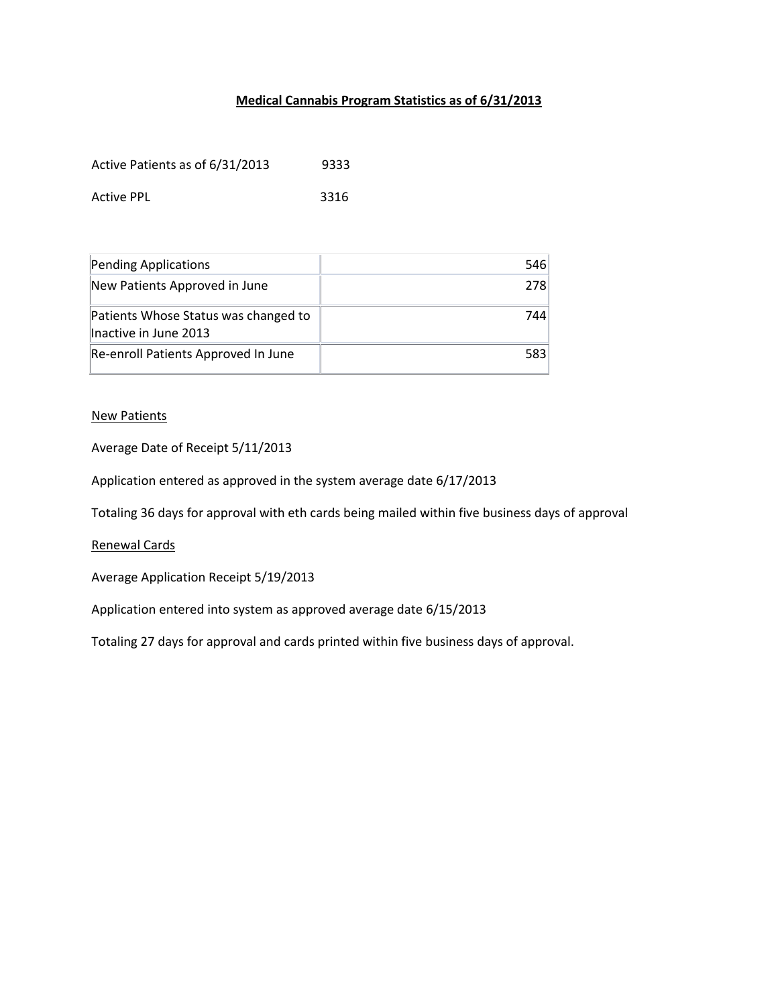## **Medical Cannabis Program Statistics as of 6/31/2013**

| Active Patients as of 6/31/2013 | 9333 |
|---------------------------------|------|
| <b>Active PPL</b>               | 3316 |

| Pending Applications                                          | 546 |
|---------------------------------------------------------------|-----|
| New Patients Approved in June                                 | 278 |
| Patients Whose Status was changed to<br>Inactive in June 2013 | 744 |
| Re-enroll Patients Approved In June                           | 583 |

## New Patients

Average Date of Receipt 5/11/2013

Application entered as approved in the system average date 6/17/2013

Totaling 36 days for approval with eth cards being mailed within five business days of approval

Renewal Cards

Average Application Receipt 5/19/2013

Application entered into system as approved average date 6/15/2013

Totaling 27 days for approval and cards printed within five business days of approval.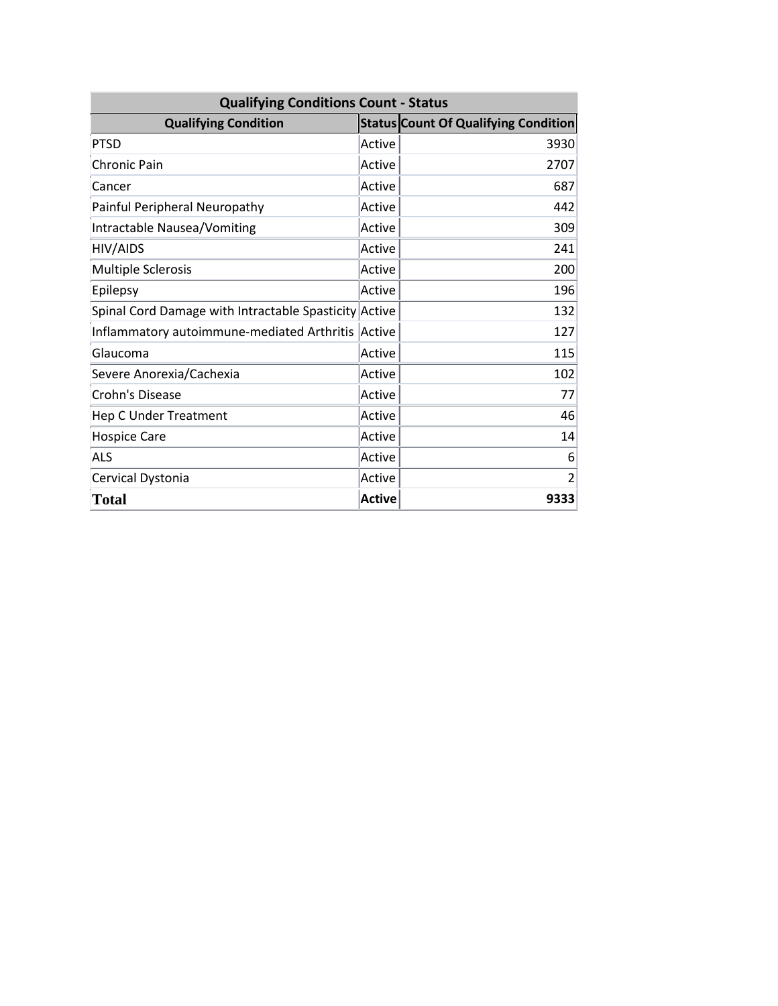| <b>Qualifying Conditions Count - Status</b>           |               |                                             |
|-------------------------------------------------------|---------------|---------------------------------------------|
| <b>Qualifying Condition</b>                           |               | <b>Status Count Of Qualifying Condition</b> |
| <b>PTSD</b>                                           | Active        | 3930                                        |
| Chronic Pain                                          | Active        | 2707                                        |
| Cancer                                                | Active        | 687                                         |
| Painful Peripheral Neuropathy                         | Active        | 442                                         |
| Intractable Nausea/Vomiting                           | Active        | 309                                         |
| <b>HIV/AIDS</b>                                       | Active        | 241                                         |
| <b>Multiple Sclerosis</b>                             | Active        | 200                                         |
| Epilepsy                                              | Active        | 196                                         |
| Spinal Cord Damage with Intractable Spasticity Active |               | 132                                         |
| Inflammatory autoimmune-mediated Arthritis            | Active        | 127                                         |
| Glaucoma                                              | Active        | 115                                         |
| Severe Anorexia/Cachexia                              | Active        | 102                                         |
| Crohn's Disease                                       | Active        | 77                                          |
| <b>Hep C Under Treatment</b>                          | Active        | 46                                          |
| <b>Hospice Care</b>                                   | Active        | 14                                          |
| <b>ALS</b>                                            | Active        | 6                                           |
| Cervical Dystonia                                     | Active        | $\overline{2}$                              |
| <b>Total</b>                                          | <b>Active</b> | 9333                                        |